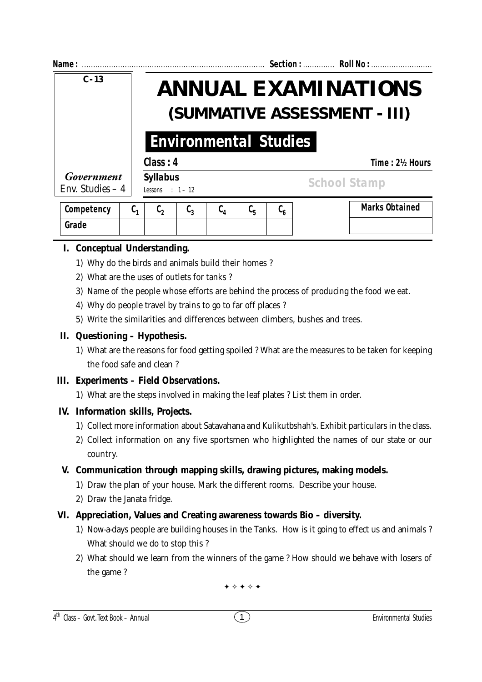| Name:                           |    |                                                            |                  |                  |                               |                                                              |  | Section:  Roll No :   |  |
|---------------------------------|----|------------------------------------------------------------|------------------|------------------|-------------------------------|--------------------------------------------------------------|--|-----------------------|--|
| $C - 13$                        |    | <b>ANNUAL EXAMINATIONS</b><br>(SUMMATIVE ASSESSMENT - III) |                  |                  |                               |                                                              |  |                       |  |
| <b>Environmental Studies</b>    |    |                                                            |                  |                  |                               |                                                              |  |                       |  |
|                                 |    | Class: 4                                                   |                  |                  |                               |                                                              |  | Time: 2½ Hours        |  |
| Government<br>Env. Studies $-4$ |    | <b>Syllabus</b><br>Lessons : $1 - 12$                      |                  |                  |                               |                                                              |  | <b>School Stamp</b>   |  |
| Competency                      | C, | $\mathfrak{c}_2$                                           | $\mathfrak{c}_3$ | $\mathfrak{c}_4$ | $\mathfrak{c}_{\mathfrak{s}}$ | $\mathfrak{c}_{\scriptscriptstyle{\boldsymbol{\mathsf{6}}}}$ |  | <b>Marks Obtained</b> |  |
| Grade                           |    |                                                            |                  |                  |                               |                                                              |  |                       |  |

# **I. Conceptual Understanding.**

- 1) Why do the birds and animals build their homes ?
- 2) What are the uses of outlets for tanks ?
- 3) Name of the people whose efforts are behind the process of producing the food we eat.
- 4) Why do people travel by trains to go to far off places ?
- 5) Write the similarities and differences between climbers, bushes and trees.

#### **II. Questioning – Hypothesis.**

1) What are the reasons for food getting spoiled ? What are the measures to be taken for keeping the food safe and clean ?

#### **III. Experiments – Field Observations.**

1) What are the steps involved in making the leaf plates ? List them in order.

# **IV. Information skills, Projects.**

- 1) Collect more information about Satavahana and Kulikutbshah's. Exhibit particulars in the class.
- 2) Collect information on any five sportsmen who highlighted the names of our state or our country.

# **V. Communication through mapping skills, drawing pictures, making models.**

- 1) Draw the plan of your house. Mark the different rooms. Describe your house.
- 2) Draw the Janata fridge.

# **VI. Appreciation, Values and Creating awareness towards Bio – diversity.**

- 1) Now-a-days people are building houses in the Tanks. How is it going to effect us and animals ? What should we do to stop this ?
- 2) What should we learn from the winners of the game ? How should we behave with losers of the game ?

✦ ✧ ✦ ✧ ✦

#### 4 th Class – Govt. Text Book – **Annual** Environmental Studies